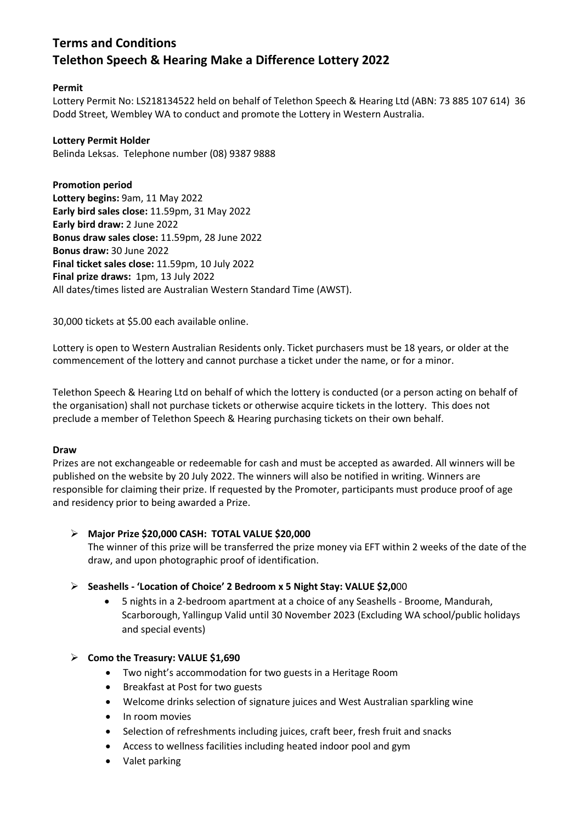# **Terms and Conditions Telethon Speech & Hearing Make a Difference Lottery 2022**

## **Permit**

Lottery Permit No: LS218134522 held on behalf of Telethon Speech & Hearing Ltd (ABN: 73 885 107 614) 36 Dodd Street, Wembley WA to conduct and promote the Lottery in Western Australia.

## **Lottery Permit Holder**

Belinda Leksas. Telephone number (08) 9387 9888

**Promotion period Lottery begins:** 9am, 11 May 2022 **Early bird sales close:** 11.59pm, 31 May 2022 **Early bird draw:** 2 June 2022 **Bonus draw sales close:** 11.59pm, 28 June 2022 **Bonus draw:** 30 June 2022 **Final ticket sales close:** 11.59pm, 10 July 2022 **Final prize draws:** 1pm, 13 July 2022 All dates/times listed are Australian Western Standard Time (AWST).

30,000 tickets at \$5.00 each available online.

Lottery is open to Western Australian Residents only. Ticket purchasers must be 18 years, or older at the commencement of the lottery and cannot purchase a ticket under the name, or for a minor.

Telethon Speech & Hearing Ltd on behalf of which the lottery is conducted (or a person acting on behalf of the organisation) shall not purchase tickets or otherwise acquire tickets in the lottery. This does not preclude a member of Telethon Speech & Hearing purchasing tickets on their own behalf.

## **Draw**

Prizes are not exchangeable or redeemable for cash and must be accepted as awarded. All winners will be published on the website by 20 July 2022. The winners will also be notified in writing. Winners are responsible for claiming their prize. If requested by the Promoter, participants must produce proof of age and residency prior to being awarded a Prize.

## **Major Prize \$20,000 CASH: TOTAL VALUE \$20,000**

The winner of this prize will be transferred the prize money via EFT within 2 weeks of the date of the draw, and upon photographic proof of identification.

## **Seashells - 'Location of Choice' 2 Bedroom x 5 Night Stay: VALUE \$2,0**00

• 5 nights in a 2-bedroom apartment at a choice of any Seashells - Broome, Mandurah, Scarborough, Yallingup Valid until 30 November 2023 (Excluding WA school/public holidays and special events)

## **Como the Treasury: VALUE \$1,690**

- Two night's accommodation for two guests in a Heritage Room
- Breakfast at Post for two guests
- Welcome drinks selection of signature juices and West Australian sparkling wine
- In room movies
- Selection of refreshments including juices, craft beer, fresh fruit and snacks
- Access to wellness facilities including heated indoor pool and gym
- Valet parking